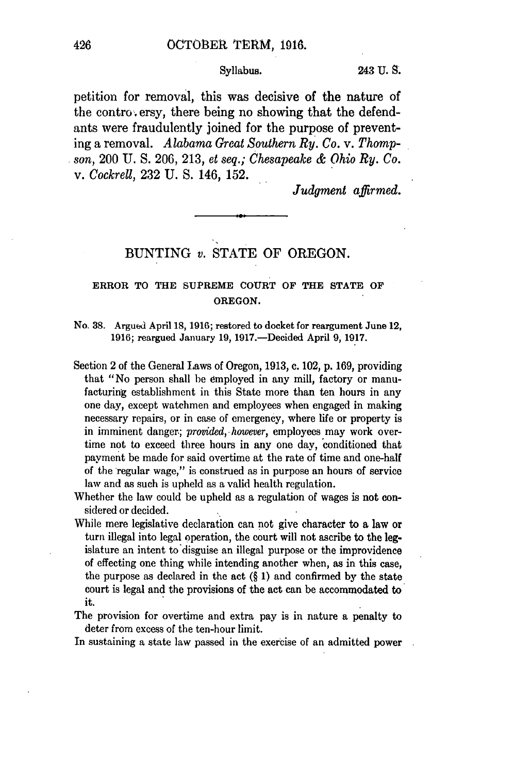#### Syllabus. 243 **U. S.**

petition for removal, this was decisive of the nature of the controversy, there being no showing that the defendants were fraudulently joined for the purpose of preventing a removal. *Alabama Great Southern Ry. Co.* v. *Thompson,* 200 U. S. 206, 213, *et seq.; Chesapeake & Ohio Ry. Co. v. Cockrell,* 232 U. S. 146, 152.

*Judgment affirmed.*

# BUNTING *v.* STATE OF OREGON.

## ERROR TO THE SUPREME **COURT** OF THE STATE OF OREGON.

- No. 38. Argued April 18, 1916; restored to docket for reargument June 12, 1916; reargued January 19, 1917.-Decided April **9,** 1917.
- Section 2 of the General Laws of Oregon, 1913, c. 102, p. 169, providing that "No person shall he employed in any mill, factory or manufacturing establishment in this State more than ten hours in any one day, except watchmen and employees when engaged in making necessary repairs, or in case of emergency, where life or property is in imminent danger; *provided, however,* employees may work overtime not to exceed three hours in any one day, conditioned that payment be made for said overtime at the rate of time and one-half of the regular wage," is construed as in purpose an hours of service law and as such is upheld as a valid health regulation.
- Whether the law could be upheld as a regulation of wages is not considered or decided.
- While mere legislative declaration can not give character to a law or turn illegal into legal operation, the court will not ascribe to the legislature an intent to disguise an illegal purpose or the improvidence of effecting one thing while intending another when, as in this case, the purpose as declared in the act  $(\S 1)$  and confirmed by the state court is legal and the provisions of the act can be accommodated to it.
- The provision for overtime and extra pay is in nature a penalty to deter from excess of the ten-hour limit.

In sustaining a state law passed in the exercise of an admitted power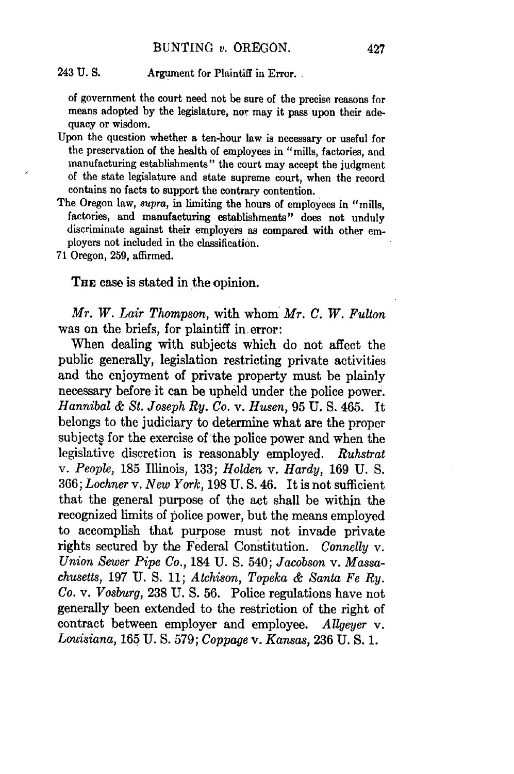#### 243 **U. S.** Argument for Plaintiff in Error.

of government the court need not be sure of the precise reasons for means adopted by the legislature, **nor** may it pass upon their adequacy or wisdom.

- Upon the question whether a ten-hour law is necessary or useful for the preservation of the health of employees in "mills, factories, and manufacturing establishments" the court may accept the judgment of the state legislature and state supreme court, when the record contains no facts to support the contrary contention.
- The Oregon law, supra, in limiting the hours of employees in "mills, factories, and manufacturing establishments" does not unduly discriminate against their employers as compared with other employers not included in the classification.

71 Oregon, 259, affirmed.

THE case is stated in the opinion.

*Mr. W. Lair Thompson,* with whom *Mr. C. W. Fulton* was on the briefs, for plaintiff in error:

When dealing with subjects which do not affect the public generally, legislation restricting private activities and the enjoyment of private property must be plainly necessary before it can be upheld under the police power. *Hannibal & St. Joseph Ry. Co.* v. *Husen,* **95** U. S. 465. It belongs to the judiciary to determine what are the proper subjects for the exercise of the police power and when the legislative discretion is reasonably employed. *Ruhstrat* v. *People,* 185 Illinois, 133; *Holden* v. *Hardy,* 169 U. S. 366; *Lochner* v. *New York,* 198 U. S. 46. It is not sufficient that the general purpose of the act shall be within the recognized limits of police power, but the means employed to accomplish that purpose must not invade private rights secured by the Federal Constitution. *Connelly* v. *Union Sewer Pipe Co.,* 184 U. S. 540; *Jacobson v. Massachusetts,* 197 U. S. 11; *Atchison, Topeka & Santa Fe Ry. Co.* v. *Vosburg,* 238 U. S. 56. Police regulations have not generally been extended to the restriction of the right of contract between employer and employee. *Allgeyer* v. *Louisiana,* 165 U. S. 579; *Coppage v. Kansas,* 236 U. S. 1.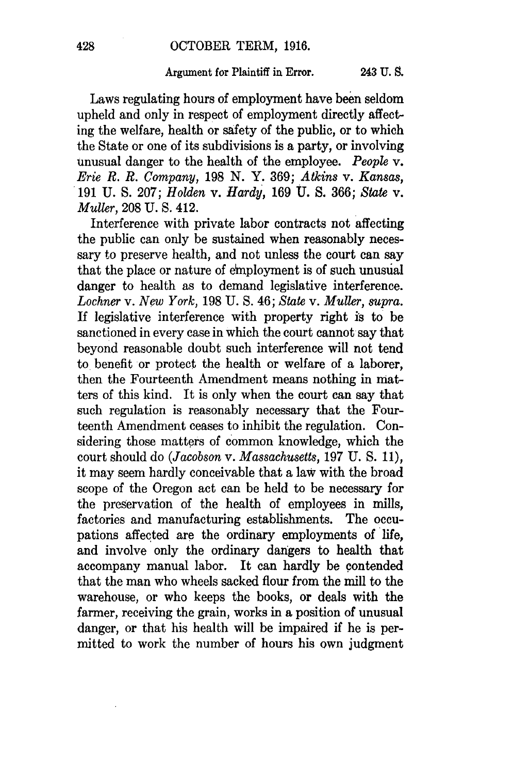#### Argument for Plaintiff in Error. 243 **U. 9.**

Laws regulating hours of employment have been seldom upheld and only in respect of employment directly affecting the welfare, health or safety of the public, or to which the State or one of its subdivisions is a party, or involving unusual danger to the health of the employee. *People v. Erie R. R. Company,* 198 N. Y. 369; *Atkins v. Kansas,* 191 U. S. 207; *Holden v. Hardy,* 169 U. S. 366; *State* v. *Muller,* 208 U. **S.** 412.

Interference with private labor contracts not affecting the public can only be sustained when reasonably necessary to preserve health, and not unless the court can say that the place or nature of employment is of such unusual danger to health as to demand legislative interference. *Lochner v. New York,* 198 U. **S.** 46; *State* v. *Muller, supra.* If legislative interference with property right is to be sanctioned in every case in which the court cannot say that beyond reasonable doubt such interference will not tend to benefit or protect the health or welfare of a laborer, then the Fourteenth Amendment means nothing in matters of this kind. It is only when the court can say that such regulation is reasonably necessary that the Fourteenth Amendment ceases to inhibit the regulation. Considering those matters of common knowledge, which the court should do *(Jacobson v. Massachusetts,* 197 U. **S.** 11), it may seem hardly conceivable that a law with the broad scope of the Oregon act can be held to be necessary for the preservation of the health of employees in mills, factories and manufacturing establishments. The occupations affected are the ordinary employments of life, and involve only the ordinary dangers to health that accompany manual labor. It can hardly be contended that the man who wheels sacked flour from the mill to the warehouse, or who keeps the books, or deals with the farmer, receiving the grain, works in a position of unusual danger, or that his health will be impaired if he is permitted to work the number of hours his own judgment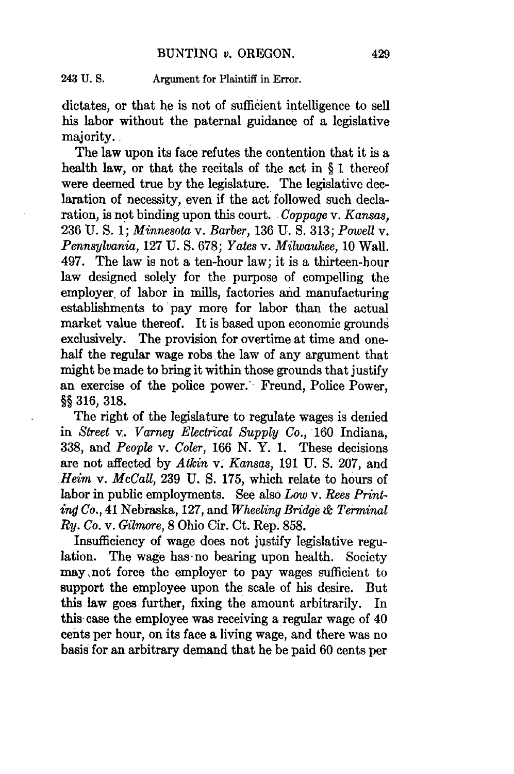#### 243 U. **S.** Argument for Plaintiff in Error.

dictates, or that he is not of sufficient intelligence to sell his labor without the paternal guidance of a legislative majority.

The law upon its face refutes the contention that it is a health law, or that the recitals of the act in § 1 thereof were deemed true by the legislature. The legislative declaration of necessity, even if the act followed such declaration, is not binding upon this court. *Coppage* v. Kansas, 236 U. S. 1; *Minnesota* v. *Barber,* 136 U. S. 313; *Powell* v. *Pennsylvania,* 127 U. S. 678; *Yates* v. *Milwaukee,* 10 Wall. 497. The law is not a ten-hour law; it is a thirteen-hour law designed solely for the purpose of compelling the employer of labor in mills, factories and manufacturing establishments to pay more for labor than the actual market value thereof. It is based upon economic grounds exclusively. The provision for overtime at time and onehalf the regular wage robs the law of any argument that might be made to bring it within those grounds that justify an exercise of the police power. Freund, Police Power, §§ 316, 318.

The right of the legislature to regulate wages is denied in *Street* v. *Varney Electrical Supply Co.,* 160 Indiana, 338, and *People v. Coler,* 166 N. Y. 1. These decisions are not affected by *Atkin* v. Kansas, **191** U. **S.** 207, and *Heim* v. *McCall,* 239 U. S. 175, which relate to hours of labor in public employments. See also *Low* v. *Rees Printin# Co.,* 41 Nebraska, 127, and *Wheeling Bridge* **&** *Terminal* Ry. *Co.* v. *Gilmore,* 8 Ohio Cir. Ct. Rep. 858.

Insufficiency of wage does not justify legislative regulation. The wage has-no bearing upon health. Society may,not force the employer to pay wages sufficient to support the employee upon the scale of his desire. But this law goes further, fixing the amount arbitrarily. In this case the employee was receiving a regular wage of 40 cents per hour, on its face a living wage, and there was no basis for an arbitrary demand that he be paid 60 cents per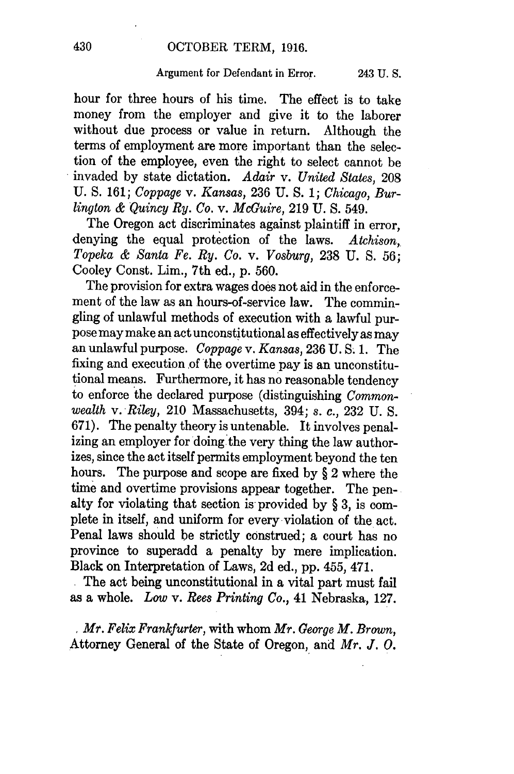#### Argument for Defendant in Error. 243 U. S.

hour for three hours of his time. The effect is to take money from the employer and give it to the laborer without due process or value in return. Although the terms of employment are more important than the selection of the employee, even the right to select cannot be invaded by state dictation. *Adair* v. *United States,* 208 U. S. 161; *Coppage* v. *Kansas,* 236 U. S. 1; *Chicago, Burlington & Quincy Ry. Co. v. McGuire,* 219 U. S. 549.

The Oregon act discriminates against plaintiff in error, denying the equal protection of the laws. *Atchison, Topeka & Santa Fe. Ry. Co. v. Vosburg,* 238 U. S. **56;** Cooley Const. Lim., 7th ed., p. 560.

The provision for extra wages does not aid in the enforcement of the law as an hours-of-service law. The commingling of unlawful methods of execution with a lawful purpose may make an act unconstitutional as effectively as may an unlawful purpose. *Coppage v. Kansas,* 236 U. S. 1. The fixing and execution of the overtime pay is an unconstitutional means. Furthermore, it has no reasonable tendency to enforce the declared purpose (distinguishing *Commonwealth* v. *Riley,* 210 Massachusetts, 394; *s. c.,* 232 U. S. 671). The penalty theory is untenable. It involves penalizing an employer for doing the very thing the law authorizes, since the act itself permits employment beyond the ten hours. The purpose and scope are fixed by § 2 where the time and overtime provisions appear together. The penalty for violating that section is provided by § 3, is complete in itself, and uniform for every violation of the act. Penal laws should be strictly construed; a court has no province to superadd a penalty by mere implication. Black on Interpretation of Laws, 2d ed., pp. 455, 471.

The act being unconstitutional in a vital part must fail as a whole. *Low* v. *Rees Printing Co.,* 41 Nebraska, 127.

Mr. *Felix Frankfurter,* with whom *Mr. George M. Brown,* Attorney General of the State of Oregon, and *Mr. J. 0.*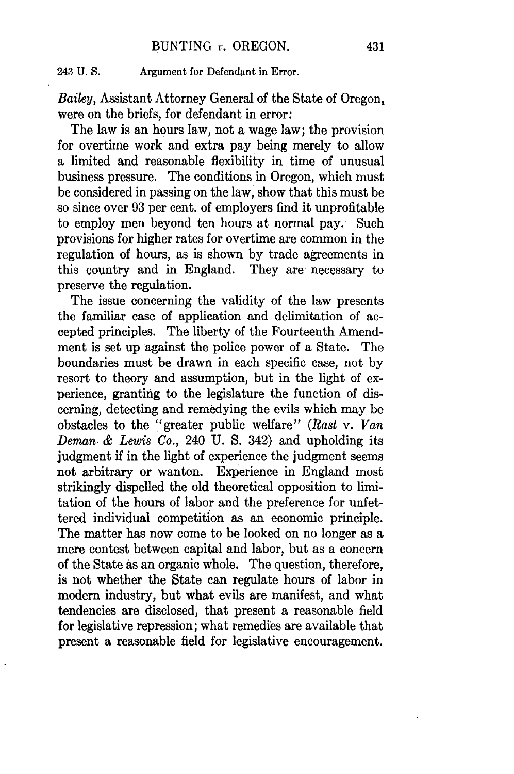## 243 U. **S.** Argument for Defendant in Error.

*Bailey,* Assistant Attorney General of the State of Oregon, were on the briefs, for defendant in error:

The law is an hours law, not a wage law; the provision for overtime work and extra pay being merely to allow a limited and reasonable flexibility in time of unusual business pressure. The conditions in Oregon, which must be considered in passing on the law, show that this must be so since over 93 per cent. of employers find it unprofitable to employ men beyond ten hours at normal pay. Such provisions for higher rates for overtime are common in the regulation of hours, as is shown by trade agreements in this country and in England. They are necessary to preserve the regulation.

The issue concerning the validity of the law presents the familiar case of application and delimitation of accepted principles. The liberty of the Fourteenth Amendment is set up against the police power of a State. The boundaries must be drawn in each specific case, not by resort to theory and assumption, but in the light of experience, granting to the legislature the function of discerning, detecting and remedying the evils which may be obstacles to the "greater public welfare" *(Rast* v. *Van Deman. & Lewis Co.,* 240 U. S. 342) and upholding its judgment if in the light of experience the judgment seems not arbitrary or wanton. Experience in England most strikingly dispelled the old theoretical opposition to limitation of the hours of labor and the preference for unfettered individual competition as an economic principle. The matter has now come to be looked on no longer as a mere contest between capital and labor, but as a concern of the State as an organic whole. The question, therefore, is not whether the State can regulate hours of labor in modern industry, but what evils are manifest, and what tendencies are disclosed, that present a reasonable field for legislative repression; what remedies are available that present a reasonable field for legislative encouragement.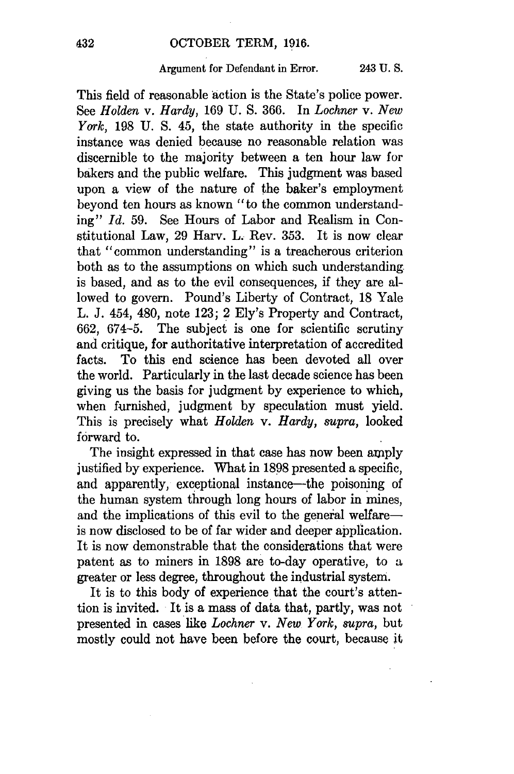#### Argument for Defendant in Error. 243 **U. S.**

This field of reasonable action is the State's police power. See *Holden* v. *Hardy,* 169 U. **S.** 366. In *Lochner v. New York,* 198 U. **S.** 45, the state authority in the specific instance was denied because no reasonable relation was discernible to the majority between a ten hour law for bakers and the public welfare. This judgment was based upon a view of the nature of the baker's employment beyond ten hours as known "to the common understanding" *Id.* 59. See Hours of Labor and Realism in Constitutional Law, 29 Harv. *L,* Rev. 353. It is now clear that "common understanding" is a treacherous criterion both as to the assumptions on which such understanding is based, and as to the evil consequences, if they are allowed to govern. Pound's Liberty of Contract, 18 Yale L. J. 454, 480, note 123; 2 Ely's Property and Contract, 662, 674-5. The subject is one for scientific scrutiny and critique, for authoritative interpretation of accredited facts. To this end science has been devoted all over the world. Particularly in the last decade science has been giving us the basis for judgment by experience to which, when furnished, judgment by speculation must yield. This is precisely what *Holden* v. *Hardy, supra,* looked forward to.

The insight expressed in that case has now been amply justified by experience. What in 1898 presented a specific, and apparently, exceptional instance—the poisoning of the human system through long hours of labor in mines, and the implications of this evil to the general welfareis now disclosed to be of far wider and deeper application. It is now demonstrable that the considerations that were patent as to miners in 1898 are to-day operative, to a greater or less degree, throughout the industrial system.

It is to this body of experience that the court's attention is invited. It is a mass of data that, partly, was not presented in cases like *Lochner* v. *New York, supra,* but mostly could not have been before the court, because it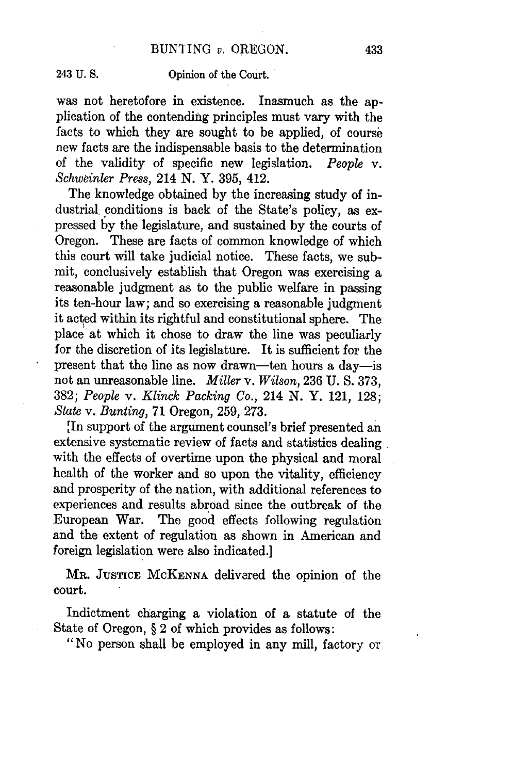243 U. S. Opinion of the Court.

was not heretofore in existence. Inasmuch as the application of the contending principles must vary with the facts to which they are sought to be applied, of course new facts are the indispensable basis to the determination of the validity of specific new legislation. *People* v. *Schweinler Press, 214* N. Y. 395, 412.

The knowledge obtained by the increasing study of industrial conditions is back of the State's policy, as expressed by the legislature, and sustained by the courts of Oregon. These are facts of common knowledge of which this court will take judicial notice. These facts, we submit, conclusively establish that Oregon was exercising a reasonable judgment as to the public welfare in passing its ten-hour law; and so exercising a reasonable judgment it acted within its rightful and constitutional sphere. The place at which it chose to draw the line was peculiarly for the discretion of its legislature. It is sufficient for the present that the line as now drawn-ten hours a day-is not an unreasonable line. *Miller* v. *Wilson,* 236 U. S. 373, 382; *People* v. *Klinck Packing Co.,* 214 N. Y. 121, 128; *State* v. *Bunting,* 71 Oregon, 259, 273.

[In support of the argument counsel's brief presented an extensive systematic review of facts and statistics dealing with the effects of overtime upon the physical and moral health of the worker and so upon the vitality, efficiency and prosperity of the nation, with additional references to experiences and results abroad since the outbreak of the European War. The good effects following regulation and the extent of regulation as shown in American and foreign legislation were also indicated.]

MR. JUSTICE McKENNA delivered the opinion of the court.

Indictment charging a violation of a statute of the State of Oregon, § 2 of which provides as follows:

"No person shall be employed in any mill, factory or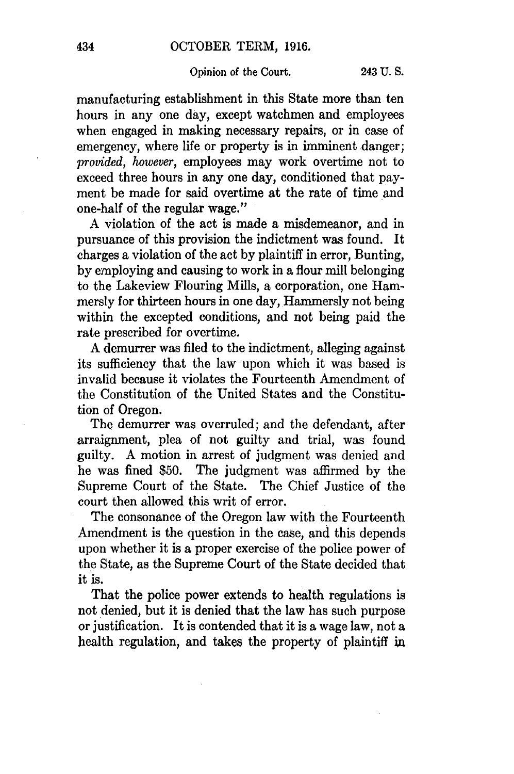## Opinion of the Court. 243 **U. S.**

manufacturing establishment in this State more than ten hours in any one day, except watchmen and employees when engaged in making necessary repairs, or in case of emergency, where life or property is in imminent danger; *provided, however,* employees may work overtime not to exceed three hours in any one day, conditioned that payment be made for said overtime at the rate of time and one-half of the regular wage."

A violation of the act is made a misdemeanor, and in pursuance of this provision the indictment was found. It charges a violation of the act by plaintiff in error, Bunting, by employing and causing to work in a flour mill belonging to the Lakeview Flouring Mills, a corporation, one Hammersly for thirteen hours in one day, Hammersly not being within the excepted conditions, and not being paid the rate prescribed for overtime.

A demurrer was filed to the indictment, alleging against its sufficiency that the law upon which it was based is invalid because it violates the Fourteenth Amendment of the Constitution of the United States and the Constitution of Oregon.

The demurrer was overruled; and the defendant, after arraignment, plea of not guilty and trial, was found guilty. A motion in arrest of judgment was denied and he was fined \$50. The judgment was affirmed by the Supreme Court of the State. The Chief Justice of the court then allowed this writ of error.

The consonance of the Oregon law with the Fourteenth Amendment is the question in the case, and this depends upon whether it is a proper exercise of the police power of the State, as the Supreme Court of the State decided that it is.

That the police power extends to health regulations is not denied, but it is denied that the law has such purpose or justification. It is contended that it is a wage law, not a health regulation, and takes the property of plaintiff **in**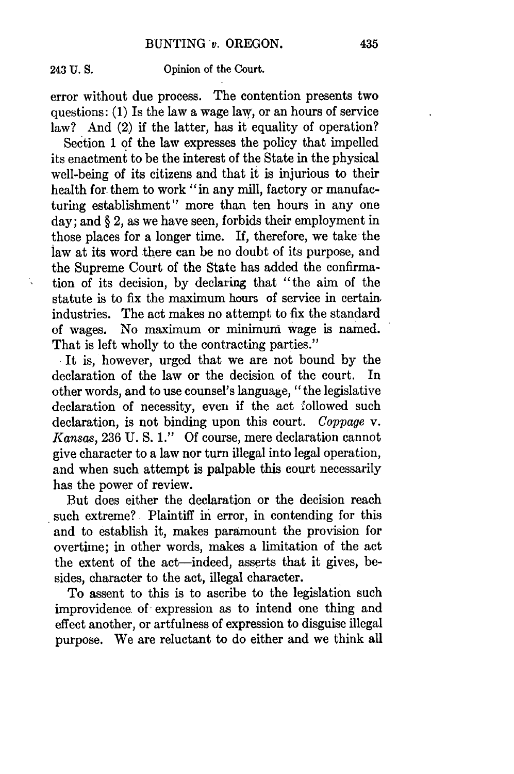÷,

### 243 **U. S.** Opinion of the Court.

error without due process. The contention presents two questions: (1) Is the law a wage law, or an hours of service law? And (2) if the latter, has it equality of operation?

Section 1 of the law expresses the policy that impelled its enactment to be the interest of the State in the physical well-being of its citizens and that it is injurious to their health for them to work "in any mill, factory or manufacturing establishment" more than ten hours in any one day; and § 2, as we have seen, forbids their employment in those places for a longer time. If, therefore, we take the law at its word there can be no doubt of its purpose, and the Supreme Court of the State has added the confirmation of its decision, by declaring that "the aim of the statute is to fix the maximum hours of service in certain. industries. The act makes no attempt to fix the standard of wages. No maximum or minimum wage is named. That is left wholly to the contracting parties."

**.** It is, however, urged that we are not bound by the declaration of the law or the decision of the court. In other words, and to use counsel's language, "the legislative declaration of necessity, even if the act followed such declaration, is not binding upon this court. *Coppage v. Kansas,* 236 U. **S.** 1." Of course, mere declaration cannot give character to a law nor turn illegal into legal operation, and when such attempt is palpable this court necessarily has the power of review.

But does either the declaration or the decision reach such extreme? Plaintiff in error, in contending for this and to establish it, makes paramount the provision for overtime; in other words, makes a limitation of the act the extent of the act-indeed, asserts that it gives, besides, character to the act, illegal character.

To assent to this is to ascribe to the legislation such improvidence. of expression as to intend one thing and effect another, or artfulness of expression to disguise illegal purpose. We are reluctant to do either and we think all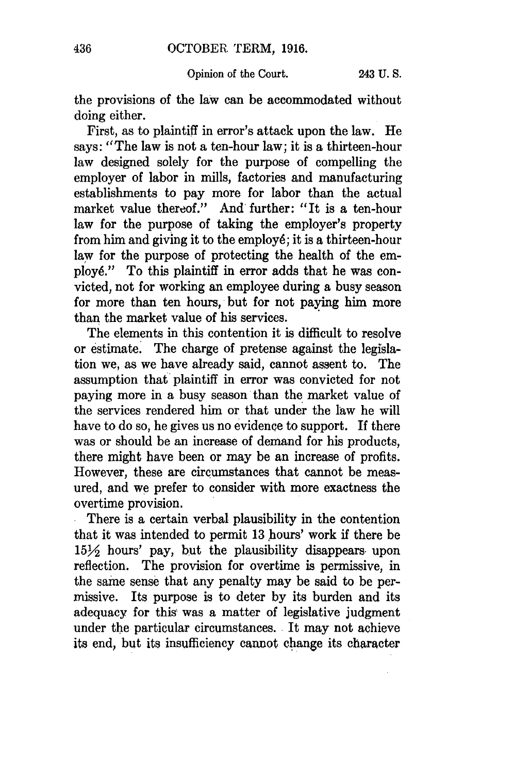## Opinion of the Court. 243 U. S.

the provisions of the law can be accommodated without doing either.

First, as to plaintiff in error's attack upon the law. He says: "The law is not a ten-hour law; it is a thirteen-hour law designed solely for the purpose of compelling the employer of labor in mills, factories and manufacturing establishments to pay more for labor than the actual market value thereof." And further: "It is a ten-hour law for the purpose of taking the employer's property from him and giving it to the employ6; it is a thirteen-hour law for the purpose of protecting the health of the employ6." To this plaintiff in error adds that he was convicted, not for working an employee during a busy season for more than ten hours, but for not paying him more than the market value of his services.

The elements in this contention it is difficult to resolve or estimate. The charge of pretense against the legislation we, as we have already said, cannot assent to. The assumption that plaintiff in error was convicted for not paying more in a busy season than the market value of the services rendered him or that under the law he will have to do so, he gives us no evidence to support. If there was or should be an increase of demand for his products, there might have been or may be an increase of profits. However, these are circumstances that cannot be measured, and we prefer to consider with more exactness the overtime provision.

There is a certain verbal plausibility in the contention that it was intended to permit 13 hours' work if there be **15Y** hours' pay, but the plausibility disappears upon reflection. The provision for overtime is permissive, in the same sense that any penalty may be said to be permissive. Its purpose is to deter by its burden and its adequacy for this was a matter of legislative judgment under the particular circumstances. It may not achieve its end, but its insufficiency cannot change its character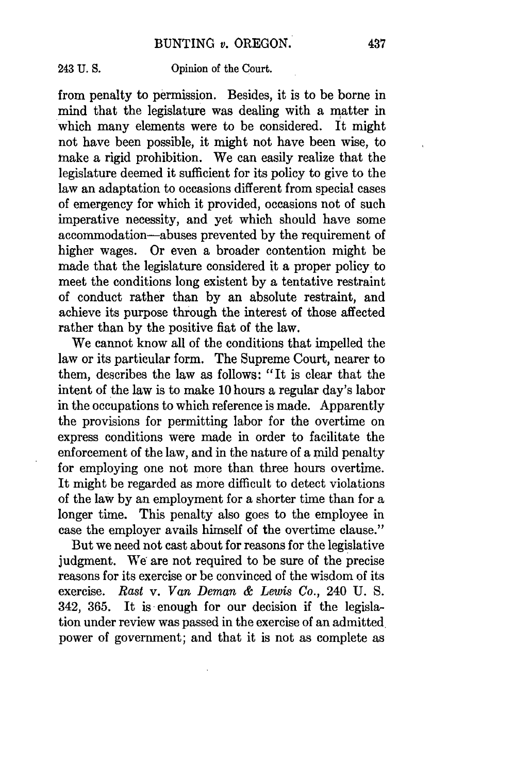243 **U. S.** Opinion of the Court.

from penalty to permission. Besides, it is to be borne in mind that the legislature was dealing with a matter in which many elements were to be considered. It might not have been possible, it might not have been wise, to make a rigid prohibition. We can easily realize that the legislature deemed it sufficient for its policy to give to the law an adaptation to occasions different from special cases of emergency for which it provided, occasions not of such imperative necessity, and yet which should have some accommodation-abuses prevented **by** the requirement of higher wages. Or even a broader contention might be made that the legislature considered it a proper policy to meet the conditions long existent **by** a tentative restraint of conduct rather than **by** an absolute restraint, and achieve its purpose through the interest of those affected rather than **by** the positive fiat of the law.

We cannot know all of the conditions that impelled the law or its particular form. The Supreme Court, nearer to them, describes the law as follows: "It is clear that the intent of the law is to make **10** hours a regular day's labor in the occupations to which reference is made. Apparently the provisions for permitting labor for the overtime on express conditions were made in order to facilitate the enforcement of the law, and in the nature of a mild penalty for employing one not more than three hours overtime. It might be regarded as more difficult to detect violations of the law by an employment for a shorter time than for a longer time. This penalty also goes to the employee in case the employer avails himself of the overtime clause."

But we need not cast about for reasons for the legislative judgment. We are not required to be sure of the precise reasons for its exercise or be convinced of the wisdom of its exercise. *Rast* v. *Van Deman & Lewis Co.,* 240 U. S. 342, 365. It is enough for our decision if the legislation under review was passed in the exercise of an admitted power of government; and that it is not as complete as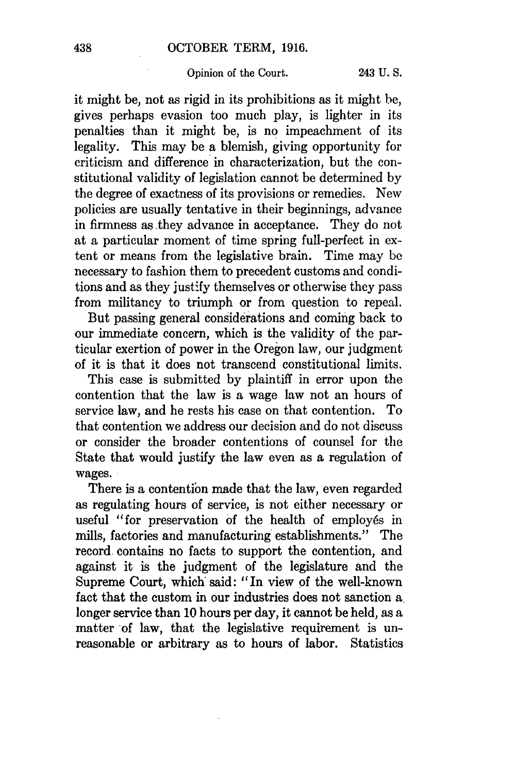## Opinion of the Court. 243 U. **S.**

it might be, not as rigid in its prohibitions as it might be, gives perhaps evasion too much play, is lighter in its penalties than it might be, is no impeachment of its legality. This may be a blemish, giving opportunity for criticism and difference in characterization, but the constitutional validity of legislation cannot be determined by the degree of exactness of its provisions or remedies. New policies are usually tentative in their beginnings, advance in firmness as they advance in acceptance. They do not at a particular moment of time spring full-perfect in extent or means from the legislative brain. Time may be necessary to fashion them to precedent customs and conditions and as they justify themselves or otherwise they pass from militancy to triumph or from question to repeal.

But passing general considerations and coming back to our immediate concern, which is the validity of the particular exertion of power in the Oregon law, our judgment of it is that it does not transcend constitutional limits.

This case is submitted by plaintiff in error upon the contention that the law is a wage law not an hours of service law, and he rests his case on that contention. To that contention we address our decision and do not discuss or consider the broader contentions of counsel for the State that would justify the law even as a regulation of wages.

There is a contention made that the law, even regarded as regulating hours of service, is not either necessary or useful "for preservation of the health of employés in mills, factories and manufacturing establishments." The record contains no facts to support the contention, and against it is the judgment of the legislature and the Supreme Court, which said: "In view of the well-known fact that the custom in our industries does not sanction a. longer service than **10** hours per day, it cannot be held, as a matter of law, that the legislative requirement is unreasonable or arbitrary as to hours of labor. Statistics